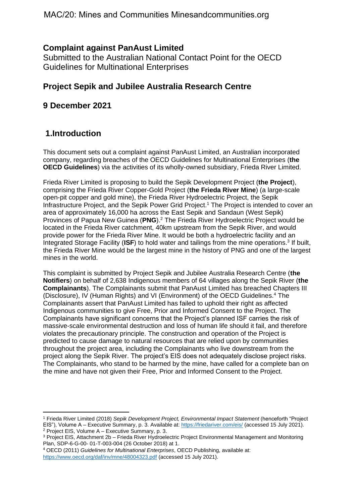## **Complaint against PanAust Limited**

Submitted to the Australian National Contact Point for the OECD Guidelines for Multinational Enterprises

## **Project Sepik and Jubilee Australia Research Centre**

### **9 December 2021**

# **1.Introduction**

This document sets out a complaint against PanAust Limited, an Australian incorporated company, regarding breaches of the OECD Guidelines for Multinational Enterprises (**the OECD Guidelines**) via the activities of its wholly-owned subsidiary, Frieda River Limited.

Frieda River Limited is proposing to build the Sepik Development Project (**the Project**), comprising the Frieda River Copper-Gold Project (**the Frieda River Mine**) (a large-scale open-pit copper and gold mine), the Frieda River Hydroelectric Project, the Sepik Infrastructure Project, and the Sepik Power Grid Project.<sup>1</sup> The Project is intended to cover an area of approximately 16,000 ha across the East Sepik and Sandaun (West Sepik) Provinces of Papua New Guinea (**PNG**).<sup>2</sup> The Frieda River Hydroelectric Project would be located in the Frieda River catchment, 40km upstream from the Sepik River, and would provide power for the Frieda River Mine. It would be both a hydroelectric facility and an Integrated Storage Facility (ISF) to hold water and tailings from the mine operations.<sup>3</sup> If built, the Frieda River Mine would be the largest mine in the history of PNG and one of the largest mines in the world.

This complaint is submitted by Project Sepik and Jubilee Australia Research Centre (**the Notifiers**) on behalf of 2,638 Indigenous members of 64 villages along the Sepik River (**the Complainants**). The Complainants submit that PanAust Limited has breached Chapters III (Disclosure), IV (Human Rights) and VI (Environment) of the OECD Guidelines.<sup>4</sup> The Complainants assert that PanAust Limited has failed to uphold their right as affected Indigenous communities to give Free, Prior and Informed Consent to the Project. The Complainants have significant concerns that the Project's planned ISF carries the risk of massive-scale environmental destruction and loss of human life should it fail, and therefore violates the precautionary principle. The construction and operation of the Project is predicted to cause damage to natural resources that are relied upon by communities throughout the project area, including the Complainants who live downstream from the project along the Sepik River. The project's EIS does not adequately disclose project risks. The Complainants, who stand to be harmed by the mine, have called for a complete ban on the mine and have not given their Free, Prior and Informed Consent to the Project.

<sup>1</sup> Frieda River Limited (2018) *Sepik Development Project, Environmental Impact Statement* (henceforth "Project EIS"), Volume A – Executive Summary, p. 3. Available at:<https://friedariver.com/eis/> (accessed 15 July 2021). <sup>2</sup> Project EIS, Volume A – Executive Summary, p. 3.

<sup>3</sup> Project EIS, Attachment 2b – Frieda River Hydroelectric Project Environmental Management and Monitoring Plan, SDP-6-G-00- 01-T-003-004 (26 October 2018) at 1.

<sup>4</sup> OECD (2011) *Guidelines for Multinational Enterprises*, OECD Publishing, available at: <https://www.oecd.org/daf/inv/mne/48004323.pdf> (accessed 15 July 2021).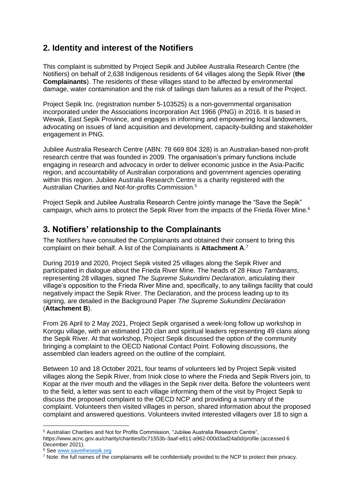# **2. Identity and interest of the Notifiers**

This complaint is submitted by Project Sepik and Jubilee Australia Research Centre (the Notifiers) on behalf of 2,638 Indigenous residents of 64 villages along the Sepik River (**the Complainants**). The residents of these villages stand to be affected by environmental damage, water contamination and the risk of tailings dam failures as a result of the Project.

Project Sepik Inc. (registration number 5-103525) is a non-governmental organisation incorporated under the Associations Incorporation Act 1966 (PNG) in 2016. It is based in Wewak, East Sepik Province, and engages in informing and empowering local landowners, advocating on issues of land acquisition and development, capacity-building and stakeholder engagement in PNG.

Jubilee Australia Research Centre (ABN: 78 669 804 328) is an Australian-based non-profit research centre that was founded in 2009. The organisation's primary functions include engaging in research and advocacy in order to deliver economic justice in the Asia-Pacific region, and accountability of Australian corporations and government agencies operating within this region. Jubilee Australia Research Centre is a charity registered with the Australian Charities and Not-for-profits Commission.<sup>5</sup>

Project Sepik and Jubilee Australia Research Centre jointly manage the "Save the Sepik" campaign, which aims to protect the Sepik River from the impacts of the Frieda River Mine.<sup>6</sup>

## **3. Notifiers' relationship to the Complainants**

The Notifiers have consulted the Complainants and obtained their consent to bring this complaint on their behalf. A list of the Complainants is **Attachment A**. 7

During 2019 and 2020, Project Sepik visited 25 villages along the Sepik River and participated in dialogue about the Frieda River Mine. The heads of 28 *Haus Tambarans*, representing 28 villages, signed *The Supreme Sukundimi Declaration*, articulating their village's opposition to the Frieda River Mine and, specifically, to any tailings facility that could negatively impact the Sepik River. The Declaration, and the process leading up to its signing, are detailed in the Background Paper *The Supreme Sukundimi Declaration*  (**Attachment B**).

From 26 April to 2 May 2021, Project Sepik organised a week-long follow up workshop in Korogu village, with an estimated 120 clan and spiritual leaders representing 49 clans along the Sepik River. At that workshop, Project Sepik discussed the option of the community bringing a complaint to the OECD National Contact Point. Following discussions, the assembled clan leaders agreed on the outline of the complaint.

Between 10 and 18 October 2021, four teams of volunteers led by Project Sepik visited villages along the Sepik River, from Iniok close to where the Frieda and Sepik Rivers join, to Kopar at the river mouth and the villages in the Sepik river delta. Before the volunteers went to the field, a letter was sent to each village informing them of the visit by Project Sepik to discuss the proposed complaint to the OECD NCP and providing a summary of the complaint. Volunteers then visited villages in person, shared information about the proposed complaint and answered questions. Volunteers invited interested villagers over 18 to sign a

<sup>5</sup> Australian Charities and Not for Profits Commission, "Jubilee Australia Research Centre",

https://www.acnc.gov.au/charity/charities/0c71553b-3aaf-e811-a962-000d3ad24a0d/profile (accessed 6 December 2021).

<sup>6</sup> See [www.savethesepik.org](http://www.savethesepik.org/)

<sup>7</sup> Note: the full names of the complainants will be confidentially provided to the NCP to protect their privacy.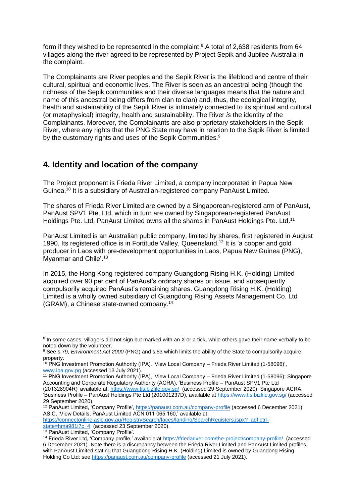form if they wished to be represented in the complaint.<sup>8</sup> A total of 2,638 residents from 64 villages along the river agreed to be represented by Project Sepik and Jubilee Australia in the complaint.

The Complainants are River peoples and the Sepik River is the lifeblood and centre of their cultural, spiritual and economic lives. The River is seen as an ancestral being (though the richness of the Sepik communities and their diverse languages means that the nature and name of this ancestral being differs from clan to clan) and, thus, the ecological integrity, health and sustainability of the Sepik River is intimately connected to its spiritual and cultural (or metaphysical) integrity, health and sustainability. The River *is* the identity of the Complainants. Moreover, the Complainants are also proprietary stakeholders in the Sepik River, where any rights that the PNG State may have in relation to the Sepik River is limited by the customary rights and uses of the Sepik Communities.<sup>9</sup>

# **4. Identity and location of the company**

The Project proponent is Frieda River Limited, a company incorporated in Papua New Guinea. <sup>10</sup> It is a subsidiary of Australian-registered company PanAust Limited.

The shares of Frieda River Limited are owned by a Singaporean-registered arm of PanAust, PanAust SPV1 Pte. Ltd, which in turn are owned by Singaporean-registered PanAust Holdings Pte. Ltd. PanAust Limited owns all the shares in PanAust Holdings Pte. Ltd.<sup>11</sup>

PanAust Limited is an Australian public company, limited by shares, first registered in August 1990. Its registered office is in Fortitude Valley, Queensland.<sup>12</sup> It is 'a copper and gold producer in Laos with pre-development opportunities in Laos, Papua New Guinea (PNG), Myanmar and Chile'.<sup>13</sup>

In 2015, the Hong Kong registered company Guangdong Rising H.K. (Holding) Limited acquired over 90 per cent of PanAust's ordinary shares on issue, and subsequently compulsorily acquired PanAust's remaining shares. Guangdong Rising H.K. (Holding) Limited is a wholly owned subsidiary of Guangdong Rising Assets Management Co. Ltd (GRAM), a Chinese state-owned company.<sup>14</sup>

<sup>11</sup> PNG Investment Promotion Authority (IPA), 'View Local Company – Frieda River Limited (1-58096); Singapore Accounting and Corporate Regulatory Authority (ACRA), 'Business Profile – PanAust SPV1 Pte Ltd (201328904R)' available at[: https://www.tis.bizfile.gov.sg/](https://www.tis.bizfile.gov.sg/) (accessed 29 September 2020); Singapore ACRA, 'Business Profile – PanAust Holdings Pte Ltd (201001237D), available at<https://www.tis.bizfile.gov.sg/> (accessed 29 September 2020).

[https://connectonline.asic.gov.au/RegistrySearch/faces/landing/SearchRegisters.jspx?\\_adf.ctrl](https://connectonline.asic.gov.au/RegistrySearch/faces/landing/SearchRegisters.jspx?_adf.ctrl-state=hma981i7c_4)[state=hma981i7c\\_4](https://connectonline.asic.gov.au/RegistrySearch/faces/landing/SearchRegisters.jspx?_adf.ctrl-state=hma981i7c_4) (accessed 23 September 2020).

<sup>&</sup>lt;sup>8</sup> In some cases, villagers did not sign but marked with an X or a tick, while others gave their name verbally to be noted down by the volunteer.

<sup>9</sup> See s.79, *Environment Act 2000* (PNG) and s.53 which limits the ability of the State to compulsorily acquire property.

<sup>&</sup>lt;sup>10</sup> PNG Investment Promotion Authority (IPA), 'View Local Company – Frieda River Limited (1-58096)', [www.ipa.gov.pg](http://www.ipa.gov.pg/) (accessed 13 July 2021).

<sup>12</sup> PanAust Limited, 'Company Profile',<https://panaust.com.au/company-profile> (accessed 6 December 2021); ASIC, 'View Details, PanAust Limited ACN 011 065 160,' available at

<sup>13</sup> PanAust Limited, 'Company Profile'.

<sup>14</sup> Frieda River Ltd, 'Company profile,' available at<https://friedariver.com/the-project/company-profile/>(accessed 6 December 2021). Note there is a discrepancy between the Frieda River Limited and PanAust Limited profiles, with PanAust Limited stating that Guangdong Rising H.K. (Holding) Limited is owned by Guandong Rising Holding Co Ltd: se[e https://panaust.com.au/company-profile](https://panaust.com.au/company-profile) (accessed 21 July 2021).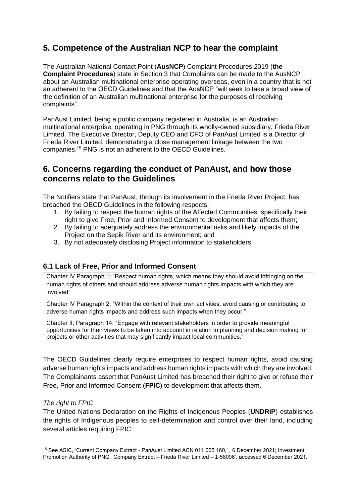# **5. Competence of the Australian NCP to hear the complaint**

The Australian National Contact Point (**AusNCP**) Complaint Procedures 2019 (**the Complaint Procedures**) state in Section 3 that Complaints can be made to the AusNCP about an Australian multinational enterprise operating overseas, even in a country that is not an adherent to the OECD Guidelines and that the AusNCP "will seek to take a broad view of the definition of an Australian multinational enterprise for the purposes of receiving complaints".

PanAust Limited, being a public company registered in Australia, is an Australian multinational enterprise, operating in PNG through its wholly-owned subsidiary, Frieda River Limited. The Executive Director, Deputy CEO and CFO of PanAust Limited is a Director of Frieda River Limited, demonstrating a close management linkage between the two companies.<sup>15</sup> PNG is not an adherent to the OECD Guidelines.

### **6. Concerns regarding the conduct of PanAust, and how those concerns relate to the Guidelines**

The Notifiers state that PanAust, through its involvement in the Frieda River Project, has breached the OECD Guidelines in the following respects:

- 1. By failing to respect the human rights of the Affected Communities, specifically their right to give Free, Prior and Informed Consent to development that affects them;
- 2. By failing to adequately address the environmental risks and likely impacts of the Project on the Sepik River and its environment; and
- 3. By not adequately disclosing Project information to stakeholders.

### **6.1 Lack of Free, Prior and Informed Consent**

Chapter IV Paragraph 1: "Respect human rights, which means they should avoid infringing on the human rights of others and should address adverse human rights impacts with which they are involved"

Chapter IV Paragraph 2: "Within the context of their own activities, avoid causing or contributing to adverse human rights impacts and address such impacts when they occur."

Chapter II, Paragraph 14: "Engage with relevant stakeholders in order to provide meaningful opportunities for their views to be taken into account in relation to planning and decision making for projects or other activities that may significantly impact local communities."

The OECD Guidelines clearly require enterprises to respect human rights, avoid causing adverse human rights impacts and address human rights impacts with which they are involved. The Complainants assert that PanAust Limited has breached their right to give or refuse their Free, Prior and Informed Consent (**FPIC**) to development that affects them.

#### *The right to FPIC*

The United Nations Declaration on the Rights of Indigenous Peoples (**UNDRIP**) establishes the rights of Indigenous peoples to self-determination and control over their land, including several articles requiring FPIC:

<sup>15</sup> See ASIC, 'Current Company Extract - PanAust Limited ACN 011 065 160,' , 6 December 2021; Investment Promotion Authority of PNG, 'Company Extract – Frieda River Limited – 1-58096', accessed 6 December 2021.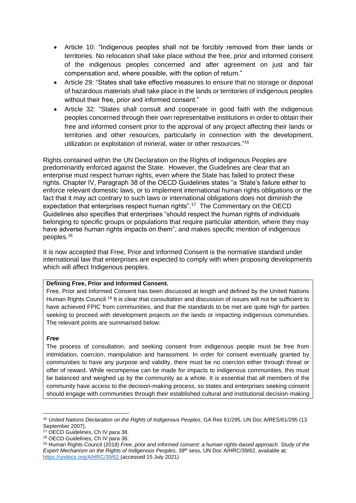- Article 10: "Indigenous peoples shall not be forcibly removed from their lands or territories. No relocation shall take place without the free, prior and informed consent of the indigenous peoples concerned and after agreement on just and fair compensation and, where possible, with the option of return."
- Article 29: "States shall take effective measures to ensure that no storage or disposal of hazardous materials shall take place in the lands or territories of indigenous peoples without their free, prior and informed consent."
- Article 32: "States shall consult and cooperate in good faith with the indigenous peoples concerned through their own representative institutions in order to obtain their free and informed consent prior to the approval of any project affecting their lands or territories and other resources, particularly in connection with the development, utilization or exploitation of mineral, water or other resources."<sup>16</sup>

Rights contained within the UN Declaration on the Rights of Indigenous Peoples are predominantly enforced against the State. However, the Guidelines are clear that an enterprise must respect human rights, even where the State has failed to protect these rights. Chapter IV, Paragraph 38 of the OECD Guidelines states "a *'*State's failure either to enforce relevant domestic laws, or to implement international human rights obligations or the fact that it may act contrary to such laws or international obligations does not diminish the expectation that enterprises respect human rights".<sup>17</sup> The Commentary on the OECD Guidelines also specifies that enterprises "should respect the human rights of individuals belonging to specific groups or populations that require particular attention, where they may have adverse human rights impacts on them", and makes specific mention of indigenous peoples.<sup>18</sup>

It is now accepted that Free, Prior and Informed Consent is the normative standard under international law that enterprises are expected to comply with when proposing developments which will affect Indigenous peoples.

#### **Defining Free, Prior and Informed Consent.**

Free, Prior and Informed Consent has been discussed at length and defined by the United Nations Human Rights Council.<sup>19</sup> It is clear that consultation and discussion of issues will not be sufficient to have achieved FPIC from communities, and that the standards to be met are quite high for parties seeking to proceed with development projects on the lands or impacting indigenous communities. The relevant points are summarised below:

#### *Free*

The process of consultation, and seeking consent from indigenous people must be free from intimidation, coercion, manipulation and harassment. In order for consent eventually granted by communities to have any purpose and validity, there must be no coercion either through threat or offer of reward. While recompense can be made for impacts to indigenous communities, this must be balanced and weighed up by the community as a whole. It is essential that all members of the community have access to the decision-making process, so states and enterprises seeking consent should engage with communities through their established cultural and institutional decision-making

<sup>16</sup> *United Nations Declaration on the Rights of Indigenous Peoples*, GA Res 61/295, UN Doc A/RES/61/295 (13 September 2007).

<sup>17</sup> OECD Guidelines, Ch IV para 38.

<sup>18</sup> OECD Guidelines, Ch IV para 38.

<sup>19</sup> Human Rights Council (2018) *Free, prior and informed consent: a human rights-based approach. Study of the Expert Mechanism on the Rights of Indigenous Peoples,* 39<sup>th</sup> sess, UN Doc A/HRC/39/62, available at; <https://undocs.org/A/HRC/39/62> (accessed 15 July 2021)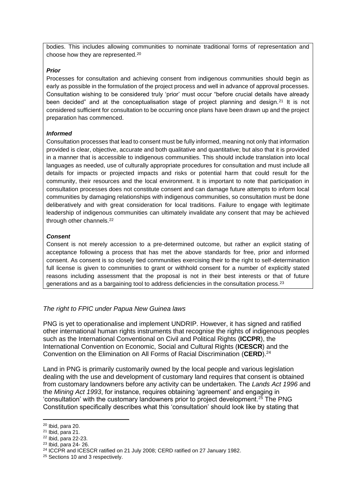bodies. This includes allowing communities to nominate traditional forms of representation and choose how they are represented.<sup>20</sup>

#### *Prior*

Processes for consultation and achieving consent from indigenous communities should begin as early as possible in the formulation of the project process and well in advance of approval processes. Consultation wishing to be considered truly 'prior' must occur "before crucial details have already been decided" and at the conceptualisation stage of project planning and design.<sup>21</sup> It is not considered sufficient for consultation to be occurring once plans have been drawn up and the project preparation has commenced.

#### *Informed*

Consultation processes that lead to consent must be fully informed, meaning not only that information provided is clear, objective, accurate and both qualitative and quantitative; but also that it is provided in a manner that is accessible to indigenous communities. This should include translation into local languages as needed, use of culturally appropriate procedures for consultation and must include all details for impacts or projected impacts and risks or potential harm that could result for the community, their resources and the local environment. It is important to note that participation in consultation processes does not constitute consent and can damage future attempts to inform local communities by damaging relationships with indigenous communities, so consultation must be done deliberatively and with great consideration for local traditions. Failure to engage with legitimate leadership of indigenous communities can ultimately invalidate any consent that may be achieved through other channels.<sup>22</sup>

#### *Consent*

Consent is not merely accession to a pre-determined outcome, but rather an explicit stating of acceptance following a process that has met the above standards for free, prior and informed consent. As consent is so closely tied communities exercising their to the right to self-determination full license is given to communities to grant or withhold consent for a number of explicitly stated reasons including assessment that the proposal is not in their best interests or that of future generations and as a bargaining tool to address deficiencies in the consultation process.<sup>23</sup>

#### *The right to FPIC under Papua New Guinea laws*

PNG is yet to operationalise and implement UNDRIP. However, it has signed and ratified other international human rights instruments that recognise the rights of indigenous peoples such as the International Conventional on Civil and Political Rights (**ICCPR**), the International Convention on Economic, Social and Cultural Rights (**ICESCR**) and the Convention on the Elimination on All Forms of Racial Discrimination (**CERD**). 24

Land in PNG is primarily customarily owned by the local people and various legislation dealing with the use and development of customary land requires that consent is obtained from customary landowners before any activity can be undertaken. The *Lands Act 1996* and the *Mining Act 1993*, for instance, requires obtaining 'agreement' and engaging in 'consultation' with the customary landowners prior to project development.<sup>25</sup> The PNG Constitution specifically describes what this 'consultation' should look like by stating that

 $20$  Ibid, para 20.

 $21$  Ibid, para 21.

<sup>22</sup> Ibid, para 22-23.

<sup>23</sup> Ibid, para 24- 26.

<sup>24</sup> ICCPR and ICESCR ratified on 21 July 2008; CERD ratified on 27 January 1982.

<sup>&</sup>lt;sup>25</sup> Sections 10 and 3 respectively.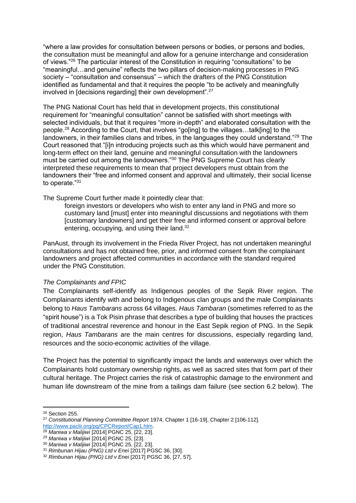"where a law provides for consultation between persons or bodies, or persons and bodies, the consultation must be meaningful and allow for a genuine interchange and consideration of views."<sup>26</sup> The particular interest of the Constitution in requiring "consultations" to be "meaningful…and genuine" reflects the two pillars of decision-making processes in PNG society – "consultation and consensus" – which the drafters of the PNG Constitution identified as fundamental and that it requires the people "to be actively and meaningfully involved in [decisions regarding] their own development".<sup>27</sup>

The PNG National Court has held that in development projects, this constitutional requirement for "meaningful consultation" cannot be satisfied with short meetings with selected individuals, but that it requires "more in-depth" and elaborated consultation with the people.<sup>28</sup> According to the Court, that involves "go[ing] to the villages…talk[ing] to the landowners, in their families clans and tribes, in the languages they could understand."<sup>29</sup> The Court reasoned that "[i]n introducing projects such as this which would have permanent and long-term effect on their land, genuine and meaningful consultation with the landowners must be carried out among the landowners."<sup>30</sup> The PNG Supreme Court has clearly interpreted these requirements to mean that project developers must obtain from the landowners their "free and informed consent and approval and ultimately, their social license to operate."<sup>31</sup>

The Supreme Court further made it pointedly clear that:

foreign investors or developers who wish to enter any land in PNG and more so customary land [must] enter into meaningful discussions and negotiations with them [customary landowners] and get their free and informed consent or approval before entering, occupying, and using their land.<sup>32</sup>

PanAust, through its involvement in the Frieda River Project, has not undertaken meaningful consultations and has not obtained free, prior, and informed consent from the complainant landowners and project affected communities in accordance with the standard required under the PNG Constitution.

#### *The Complainants and FPIC*

The Complainants self-identify as Indigenous peoples of the Sepik River region. The Complainants identify with and belong to Indigenous clan groups and the male Complainants belong to *Haus Tambarans* across 64 villages*. Haus Tambaran* (sometimes referred to as the "spirit house") is a Tok Pisin phrase that describes a type of building that houses the practices of traditional ancestral reverence and honour in the East Sepik region of PNG. In the Sepik region, *Haus Tambarans* are the main centres for discussions, especially regarding land, resources and the socio-economic activities of the village.

The Project has the potential to significantly impact the lands and waterways over which the Complainants hold customary ownership rights, as well as sacred sites that form part of their cultural heritage. The Project carries the risk of catastrophic damage to the environment and human life downstream of the mine from a tailings dam failure (see section 6.2 below). The

<sup>26</sup> Section 255.

<sup>27</sup> *Constitutional Planning Committee Report* 1974, Chapter 1 [16-19], Chapter 2 [106-112].

[http://www.paclii.org/pg/CPCReport/Cap1.htm.](http://www.paclii.org/pg/CPCReport/Cap1.htm)

<sup>28</sup> *Maniwa v Malijiwi* [2014] PGNC 25, [22, 23].

*<sup>29</sup> Maniwa v Malijiwi* [2014] PGNC 25, [23].

<sup>30</sup> *Maniwa v Malijiwi* [2014] PGNC 25, [22, 23].

<sup>31</sup> *Rimbunan Hijau (PNG) Ltd v Enei* [2017] PGSC 36, [30].

<sup>32</sup> *Rimbunan Hijau (PNG) Ltd v Enei* [2017] PGSC 36, [27, 57].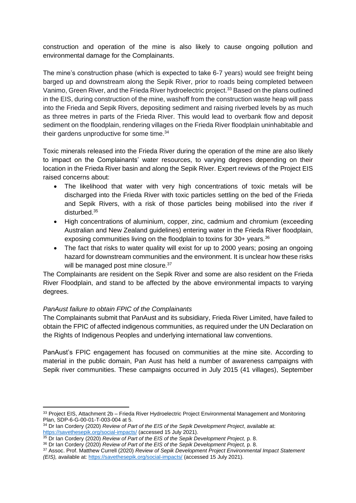construction and operation of the mine is also likely to cause ongoing pollution and environmental damage for the Complainants.

The mine's construction phase (which is expected to take 6-7 years) would see freight being barged up and downstream along the Sepik River, prior to roads being completed between Vanimo, Green River, and the Frieda River hydroelectric project.<sup>33</sup> Based on the plans outlined in the EIS, during construction of the mine, washoff from the construction waste heap will pass into the Frieda and Sepik Rivers, depositing sediment and raising riverbed levels by as much as three metres in parts of the Frieda River. This would lead to overbank flow and deposit sediment on the floodplain, rendering villages on the Frieda River floodplain uninhabitable and their gardens unproductive for some time.<sup>34</sup>

Toxic minerals released into the Frieda River during the operation of the mine are also likely to impact on the Complainants' water resources, to varying degrees depending on their location in the Frieda River basin and along the Sepik River. Expert reviews of the Project EIS raised concerns about:

- The likelihood that water with very high concentrations of toxic metals will be discharged into the Frieda River with toxic particles settling on the bed of the Frieda and Sepik Rivers, with a risk of those particles being mobilised into the river if disturbed.<sup>35</sup>
- High concentrations of aluminium, copper, zinc, cadmium and chromium (exceeding Australian and New Zealand guidelines) entering water in the Frieda River floodplain, exposing communities living on the floodplain to toxins for  $30+$  years.<sup>36</sup>
- The fact that risks to water quality will exist for up to 2000 years; posing an ongoing hazard for downstream communities and the environment. It is unclear how these risks will be managed post mine closure.<sup>37</sup>

The Complainants are resident on the Sepik River and some are also resident on the Frieda River Floodplain, and stand to be affected by the above environmental impacts to varying degrees.

### *PanAust failure to obtain FPIC of the Complainants*

The Complainants submit that PanAust and its subsidiary, Frieda River Limited, have failed to obtain the FPIC of affected indigenous communities, as required under the UN Declaration on the Rights of Indigenous Peoples and underlying international law conventions.

PanAust's FPIC engagement has focused on communities at the mine site. According to material in the public domain, Pan Aust has held a number of awareness campaigns with Sepik river communities. These campaigns occurred in July 2015 (41 villages), September

<sup>33</sup> Project EIS, Attachment 2b - Frieda River Hydroelectric Project Environmental Management and Monitoring Plan, SDP-6-G-00-01-T-003-004 at 5.

<sup>34</sup> Dr Ian Cordery (2020) *Review of Part of the EIS of the Sepik Development Project*, available at: <https://savethesepik.org/social-impacts/> (accessed 15 July 2021).

<sup>35</sup> Dr Ian Cordery (2020) *Review of Part of the EIS of the Sepik Development Project,* p. 8.

<sup>36</sup> Dr Ian Cordery (2020) *Review of Part of the EIS of the Sepik Development Project,* p. 8.

<sup>37</sup> Assoc. Prof. Matthew Currell (2020) *Review of Sepik Development Project Environmental Impact Statement (EIS), available at:<https://savethesepik.org/social-impacts/> (accessed 15 July 2021).*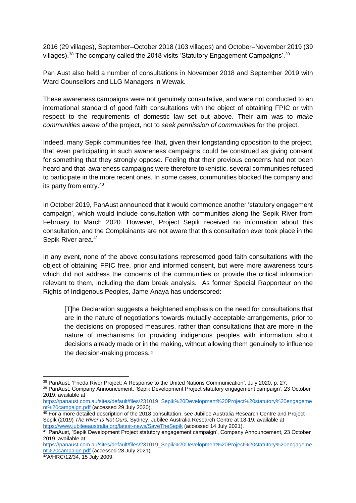2016 (29 villages), September–October 2018 (103 villages) and October–November 2019 (39 villages).<sup>38</sup> The company called the 2018 visits 'Statutory Engagement Campaigns'.<sup>39</sup>

Pan Aust also held a number of consultations in November 2018 and September 2019 with Ward Counsellors and LLG Managers in Wewak.

These awareness campaigns were not genuinely consultative, and were not conducted to an international standard of good faith consultations with the object of obtaining FPIC or with respect to the requirements of domestic law set out above. Their aim was to *make communities aware of* the project, not to *seek permission of communities* for the project.

Indeed, many Sepik communities feel that, given their longstanding opposition to the project, that even participating in such awareness campaigns could be construed as giving consent for something that they strongly oppose. Feeling that their previous concerns had not been heard and that awareness campaigns were therefore tokenistic, several communities refused to participate in the more recent ones. In some cases, communities blocked the company and its party from entry.<sup>40</sup>

In October 2019, PanAust announced that it would commence another 'statutory engagement campaign', which would include consultation with communities along the Sepik River from February to March 2020. However, Project Sepik received no information about this consultation, and the Complainants are not aware that this consultation ever took place in the Sepik River area.<sup>41</sup>

In any event, none of the above consultations represented good faith consultations with the object of obtaining FPIC free, prior and informed consent, but were more awareness tours which did not address the concerns of the communities or provide the critical information relevant to them, including the dam break analysis. As former Special Rapporteur on the Rights of Indigenous Peoples, Jame Anaya has underscored:

[T]he Declaration suggests a heightened emphasis on the need for consultations that are in the nature of negotiations towards mutually acceptable arrangements, prior to the decisions on proposed measures, rather than consultations that are more in the nature of mechanisms for providing indigenous peoples with information about decisions already made or in the making, without allowing them genuinely to influence the decision-making process. 42

<sup>38</sup> PanAust, 'Frieda River Project: A Response to the United Nations Communication', July 2020, p. 27.

<sup>39</sup> PanAust, Company Announcement, 'Sepik Development Project statutory engagement campaign', 23 October 2019, available at

[https://panaust.com.au/sites/default/files/231019\\_Sepik%20Development%20Project%20statutory%20engageme](https://panaust.com.au/sites/default/files/231019_Sepik%20Development%20Project%20statutory%20engagement%20campaign.pdf) [nt%20campaign.pdf](https://panaust.com.au/sites/default/files/231019_Sepik%20Development%20Project%20statutory%20engagement%20campaign.pdf) (accessed 29 July 2020).

<sup>&</sup>lt;sup>40</sup> For a more detailed description of the 2018 consultation, see Jubilee Australia Research Centre and Project Sepik (2019) *The River Is Not Ours,* Sydney: Jubilee Australia Research Centre at 18-19, available at <https://www.jubileeaustralia.org/latest-news/SaveTheSepik> (accessed 14 July 2021).

<sup>41</sup> PanAust, 'Sepik Development Project statutory engagement campaign', Company Announcement, 23 October 2019, available at:

[https://panaust.com.au/sites/default/files/231019\\_Sepik%20Development%20Project%20statutory%20engageme](https://panaust.com.au/sites/default/files/231019_Sepik%20Development%20Project%20statutory%20engagement%20campaign.pdf) [nt%20campaign.pdf](https://panaust.com.au/sites/default/files/231019_Sepik%20Development%20Project%20statutory%20engagement%20campaign.pdf) (accessed 28 July 2021).

<sup>42</sup>A/HRC/12/34, 15 July 2009.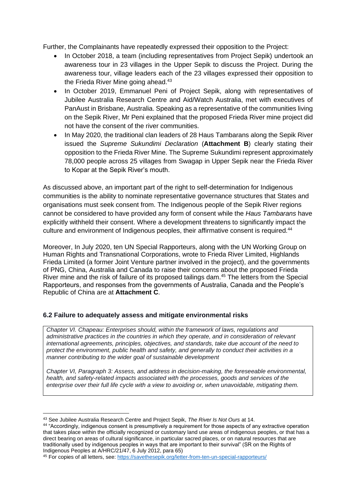Further, the Complainants have repeatedly expressed their opposition to the Project:

- In October 2018, a team (including representatives from Project Sepik) undertook an awareness tour in 23 villages in the Upper Sepik to discuss the Project. During the awareness tour, village leaders each of the 23 villages expressed their opposition to the Frieda River Mine going ahead.<sup>43</sup>
- In October 2019, Emmanuel Peni of Project Sepik, along with representatives of Jubilee Australia Research Centre and Aid/Watch Australia, met with executives of PanAust in Brisbane, Australia. Speaking as a representative of the communities living on the Sepik River, Mr Peni explained that the proposed Frieda River mine project did not have the consent of the river communities.
- In May 2020, the traditional clan leaders of 28 Haus Tambarans along the Sepik River issued the *Supreme Sukundimi Declaration* (**Attachment B**) clearly stating their opposition to the Frieda River Mine. The Supreme Sukundimi represent approximately 78,000 people across 25 villages from Swagap in Upper Sepik near the Frieda River to Kopar at the Sepik River's mouth.

As discussed above, an important part of the right to self-determination for Indigenous communities is the ability to nominate representative governance structures that States and organisations must seek consent from. The Indigenous people of the Sepik River regions cannot be considered to have provided any form of consent while the *Haus Tambarans* have explicitly withheld their consent. Where a development threatens to significantly impact the culture and environment of Indigenous peoples, their affirmative consent is required.<sup>44</sup>

Moreover, In July 2020, ten UN Special Rapporteurs, along with the UN Working Group on Human Rights and Transnational Corporations, wrote to Frieda River Limited, Highlands Frieda Limited (a former Joint Venture partner involved in the project), and the governments of PNG, China, Australia and Canada to raise their concerns about the proposed Frieda River mine and the risk of failure of its proposed tailings dam.<sup>45</sup> The letters from the Special Rapporteurs, and responses from the governments of Australia, Canada and the People's Republic of China are at **Attachment C**.

#### **6.2 Failure to adequately assess and mitigate environmental risks**

*Chapter VI. Chapeau: Enterprises should, within the framework of laws, regulations and administrative practices in the countries in which they operate, and in consideration of relevant international agreements, principles, objectives, and standards, take due account of the need to protect the environment, public health and safety, and generally to conduct their activities in a manner contributing to the wider goal of sustainable development*

*Chapter VI, Paragraph 3: Assess, and address in decision-making, the foreseeable environmental, health, and safety-related impacts associated with the processes, goods and services of the enterprise over their full life cycle with a view to avoiding or, when unavoidable, mitigating them.*

<sup>43</sup> See Jubilee Australia Research Centre and Project Sepik, *The River Is Not Ours* at 14.

<sup>44</sup> "Accordingly, indigenous consent is presumptively a requirement for those aspects of any extractive operation that takes place within the officially recognized or customary land use areas of indigenous peoples, or that has a direct bearing on areas of cultural significance, in particular sacred places, or on natural resources that are traditionally used by indigenous peoples in ways that are important to their survival" (SR on the Rights of Indigenous Peoples at A/HRC/21/47, 6 July 2012, para 65)

<sup>45</sup> For copies of all letters, see:<https://savethesepik.org/letter-from-ten-un-special-rapporteurs/>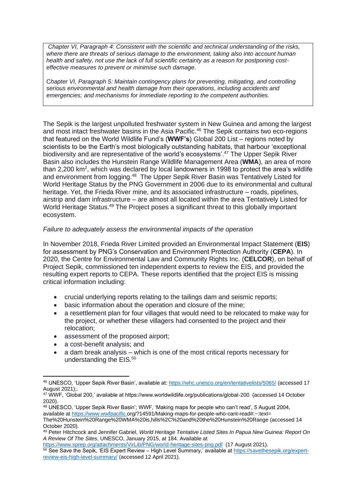*Chapter VI, Paragraph 4: Consistent with the scientific and technical understanding of the risks, where there are threats of serious damage to the environment, taking also into account human health and safety, not use the lack of full scientific certainty as a reason for postponing costeffective measures to prevent or minimise such damage.*

C*hapter VI, Paragraph 5: Maintain contingency plans for preventing, mitigating, and controlling serious environmental and health damage from their operations, including accidents and emergencies; and mechanisms for immediate reporting to the competent authorities.*

The Sepik is the largest unpolluted freshwater system in New Guinea and among the largest and most intact freshwater basins in the Asia Pacific. <sup>46</sup> The Sepik contains two eco-regions that featured on the World Wildlife Fund's (**WWF's**) Global 200 List – regions noted by scientists to be the Earth's most biologically outstanding habitats, that harbour 'exceptional biodiversity and are representative of the world's ecosystems'.<sup>47</sup> The Upper Sepik River Basin also includes the Hunstein Range Wildlife Management Area (**WMA**), an area of more than 2,200 km<sup>2</sup>, which was declared by local landowners in 1998 to protect the area's wildlife and environment from logging.<sup>48</sup> The Upper Sepik River Basin was Tentatively Listed for World Heritage Status by the PNG Government in 2006 due to its environmental and cultural heritage. Yet, the Frieda River mine, and its associated infrastructure – roads, pipelines, airstrip and dam infrastructure – are almost all located within the area Tentatively Listed for World Heritage Status.<sup>49</sup> The Project poses a significant threat to this globally important ecosystem.

#### *Failure to adequately assess the environmental impacts of the operation*

In November 2018, Frieda River Limited provided an Environmental Impact Statement (**EIS**) for assessment by PNG's Conservation and Environment Protection Authority (**CEPA**). In 2020, the Centre for Environmental Law and Community Rights Inc. (**CELCOR**), on behalf of Project Sepik, commissioned ten independent experts to review the EIS, and provided the resulting expert reports to CEPA. These reports identified that the project EIS is missing critical information including:

- crucial underlying reports relating to the tailings dam and seismic reports;
- basic information about the operation and closure of the mine:
- a resettlement plan for four villages that would need to be relocated to make way for the project, or whether these villagers had consented to the project and their relocation;
- assessment of the proposed airport;
- a cost-benefit analysis; and
- a dam break analysis which is one of the most critical reports necessary for understanding the EIS. 50

<sup>46</sup> UNESCO, 'Upper Sepik River Basin', available at:<https://whc.unesco.org/en/tentativelists/5065/> (accessed 17 August 2021);.

<sup>47</sup> WWF, 'Global 200,' available at https://www.worldwildlife.org/publications/global-200 (accessed 14 October 2020).

<sup>48</sup> UNESCO, 'Upper Sepik River Basin'; WWF, 'Making maps for people who can't read', 5 August 2004, available at [https://www.wwfpacific.](https://www.wwfpacific/)org/?14591/Making-maps-for-people-who-cant-read#:~:text=

The%20Hunstein%20Range%20WMA%20is,hills%2C%20and%20the%20Hunstein%20Range (accessed 14 October 2020).

<sup>49</sup> Peter Hitchcock and Jennifer Gabriel, *World Heritage Tentative Listed Sites In Papua New Guinea: Report On A Review Of The Sites*, UNESCO, January 2015, at 184. Available at

<https://www.sprep.org/attachments/VirLib/PNG/world-heritage-sites-png.pdf>(17 August 2021).

<sup>50</sup> See Save the Sepik, 'EIS Expert Review – High Level Summary,' available at [https://savethesepik.org/expert](https://savethesepik.org/expert-review-eis-high-level-summary/)[review-eis-high-level-summary/](https://savethesepik.org/expert-review-eis-high-level-summary/) (accessed 12 April 2021).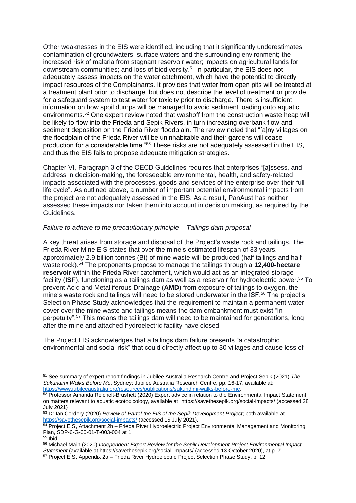Other weaknesses in the EIS were identified, including that it significantly underestimates contamination of groundwaters, surface waters and the surrounding environment; the increased risk of malaria from stagnant reservoir water; impacts on agricultural lands for downstream communities; and loss of biodiversity. <sup>51</sup> In particular, the EIS does not adequately assess impacts on the water catchment, which have the potential to directly impact resources of the Complainants. It provides that water from open pits will be treated at a treatment plant prior to discharge, but does not describe the level of treatment or provide for a safeguard system to test water for toxicity prior to discharge. There is insufficient information on how spoil dumps will be managed to avoid sediment loading onto aquatic environments.<sup>52</sup> One expert review noted that washoff from the construction waste heap will be likely to flow into the Frieda and Sepik Rivers, in turn increasing overbank flow and sediment deposition on the Frieda River floodplain. The review noted that "[a]ny villages on the floodplain of the Frieda River will be uninhabitable and their gardens will cease production for a considerable time."<sup>53</sup> These risks are not adequately assessed in the EIS, and thus the EIS fails to propose adequate mitigation strategies.

Chapter VI, Paragraph 3 of the OECD Guidelines requires that enterprises "[a]ssess, and address in decision-making, the foreseeable environmental, health, and safety-related impacts associated with the processes, goods and services of the enterprise over their full life cycle". As outlined above, a number of important potential environmental impacts from the project are not adequately assessed in the EIS. As a result, PanAust has neither assessed these impacts nor taken them into account in decision making, as required by the Guidelines.

#### *Failure to adhere to the precautionary principle – Tailings dam proposal*

A key threat arises from storage and disposal of the Project's waste rock and tailings. The Frieda River Mine EIS states that over the mine's estimated lifespan of 33 years, approximately 2.9 billion tonnes (Bt) of mine waste will be produced (half tailings and half waste rock).<sup>54</sup> The proponents propose to manage the tailings through a **12,400-hectare reservoir** within the Frieda River catchment, which would act as an integrated storage facility (**ISF**), functioning as a tailings dam as well as a reservoir for hydroelectric power. <sup>55</sup> To prevent Acid and Metalliferous Drainage (**AMD**) from exposure of tailings to oxygen, the mine's waste rock and tailings will need to be stored underwater in the ISF.<sup>56</sup> The project's Selection Phase Study acknowledges that the requirement to maintain a permanent water cover over the mine waste and tailings means the dam embankment must exist "in perpetuity".<sup>57</sup> This means the tailings dam will need to be maintained for generations, long after the mine and attached hydroelectric facility have closed.

The Project EIS acknowledges that a tailings dam failure presents "a catastrophic environmental and social risk" that could directly affect up to 30 villages and cause loss of

<sup>51</sup> See summary of expert report findings in Jubilee Australia Research Centre and Project Sepik (2021) *The Sukundimi Walks Before Me*, Sydney: Jubilee Australia Research Centre, pp. 16-17, available at: [https://www.jubileeaustralia.org/resources/publications/sukundimi-walks-before-me.](https://www.jubileeaustralia.org/resources/publications/sukundimi-walks-before-me)

<sup>&</sup>lt;sup>52</sup> Professor Amanda Reichelt-Brushett (2020) Expert advice in relation to the Environmental Impact Statement on matters relevant to aquatic ecotoxicology, available at: https://savethesepik.org/social-impacts/ (accessed 28 July 2021)

<sup>53</sup> Dr Ian Cordery (2020) *Review of Partof the EIS of the Sepik Development Project*; both available at <https://savethesepik.org/social-impacts/> (accessed 15 July 2021).

<sup>&</sup>lt;sup>54</sup> Project EIS, Attachment 2b – Frieda River Hydroelectric Project Environmental Management and Monitoring Plan, SDP-6-G-00-01-T-003-004 at 1.

 $55$  Ibid.

<sup>56</sup> Michael Main (2020) *Independent Expert Review for the Sepik Development Project Environmental Impact Statement* (available at https://savethesepik.org/social-impacts/ (accessed 13 October 2020), at p. 7.

<sup>57</sup> Project EIS, Appendix 2a – Frieda River Hydroelectric Project Selection Phase Study, p. 12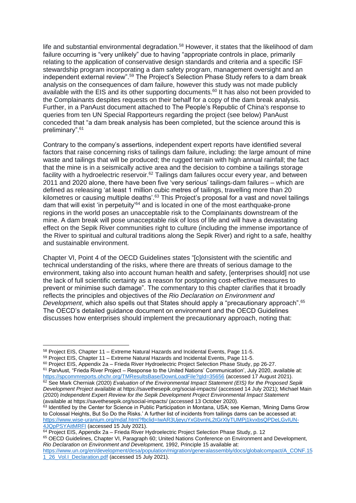life and substantial environmental degradation.<sup>58</sup> However, it states that the likelihood of dam failure occurring is "very unlikely" due to having "appropriate controls in place, primarily relating to the application of conservative design standards and criteria and a specific ISF stewardship program incorporating a dam safety program, management oversight and an independent external review".<sup>59</sup> The Project's Selection Phase Study refers to a dam break analysis on the consequences of dam failure, however this study was not made publicly available with the EIS and its other supporting documents.<sup>60</sup> It has also not been provided to the Complainants despites requests on their behalf for a copy of the dam break analysis. Further, in a PanAust document attached to The People's Republic of China's response to queries from ten UN Special Rapporteurs regarding the project (see below) PanAust conceded that "a dam break analysis has been completed, but the science around this is preliminary".<sup>61</sup>

Contrary to the company's assertions, independent expert reports have identified several factors that raise concerning risks of tailings dam failure, including: the large amount of mine waste and tailings that will be produced; the rugged terrain with high annual rainfall; the fact that the mine is in a seismically active area and the decision to combine a tailings storage facility with a hydroelectric reservoir.<sup>62</sup> Tailings dam failures occur every year, and between 2011 and 2020 alone, there have been five 'very serious' tailings-dam failures – which are defined as releasing 'at least 1 million cubic metres of tailings, travelling more than 20 kilometres or causing multiple deaths'.<sup>63</sup> This Project's proposal for a vast and novel tailings dam that will exist 'in perpetuity'<sup>64</sup> and is located in one of the most earthquake-prone regions in the world poses an unacceptable risk to the Complainants downstream of the mine. A dam break will pose unacceptable risk of loss of life and will have a devastating effect on the Sepik River communities right to culture (including the immense importance of the River to spiritual and cultural traditions along the Sepik River) and right to a safe, healthy and sustainable environment.

Chapter VI, Point 4 of the OECD Guidelines states "[c]onsistent with the scientific and technical understanding of the risks, where there are threats of serious damage to the environment, taking also into account human health and safety, [enterprises should] not use the lack of full scientific certainty as a reason for postponing cost-effective measures to prevent or minimise such damage". The commentary to this chapter clarifies that it broadly reflects the principles and objectives of the *Rio Declaration on Environment and Development*, which also spells out that States should apply a "precautionary approach". 65 The OECD's detailed guidance document on environment and the OECD Guidelines discusses how enterprises should implement the precautionary approach, noting that:

<sup>61</sup> PanAust, "Frieda River Project – Response to the United Nations' Communication', July 2020, available at: <https://spcommreports.ohchr.org/TMResultsBase/DownLoadFile?gId=35656> (accessed 17 August 2021). <sup>62</sup> See Mark Cherniak (2020) *Evaluation of the Environmental Impact Statement (EIS) for the Proposed Sepik* 

<sup>65</sup> OECD Guidelines, Chapter VI, Paragraph 60; United Nations Conference on Environment and Development, *Rio Declaration on Environment and Development,* 1992, Principle 15 available at:

<sup>58</sup> Project EIS, Chapter 11 – Extreme Natural Hazards and Incidental Events, Page 11-5.

<sup>59</sup> Project EIS, Chapter 11 – Extreme Natural Hazards and Incidental Events, Page 11-5.

 $60$  Project EIS, Appendix 2a – Frieda River Hydroelectric Project Selection Phase Study, pp 26-27.

*Development Project* available at https://savethesepik.org/social-impacts/ (accessed 14 July 2021); Michael Main (2020) *Independent Expert Review for the Sepik Development Project Environmental Impact Statement* (available at https://savethesepik.org/social-impacts/ (accessed 13 October 2020).

<sup>&</sup>lt;sup>63</sup> Identified by the Center for Science in Public Participation in Montana, USA; see Kiernan, 'Mining Dams Grow to Colossal Heights, But So Do the Risks.' A further list of incidents from tailings dams can be accessed at: [https://www.wise-uranium.org/mdaf.html?fbclid=IwAR3UjeyuYxGbvnhL2tGrXlyTUMPj1kvxbsQPDeLGvIUN-](https://www.wise-uranium.org/mdaf.html?fbclid=IwAR3UjeyuYxGbvnhL2tGrXlyTUMPj1kvxbsQPDeLGvIUN-4JQpPSYAitMRFI)[4JQpPSYAitMRFI](https://www.wise-uranium.org/mdaf.html?fbclid=IwAR3UjeyuYxGbvnhL2tGrXlyTUMPj1kvxbsQPDeLGvIUN-4JQpPSYAitMRFI) (accessed 15 July 2021).

<sup>64</sup> Project EIS, Appendix 2a – Frieda River Hydroelectric Project Selection Phase Study, p. 12

[https://www.un.org/en/development/desa/population/migration/generalassembly/docs/globalcompact/A\\_CONF.15](https://www.un.org/en/development/desa/population/migration/generalassembly/docs/globalcompact/A_CONF.151_26_Vol.I_Declaration.pdf) [1\\_26\\_Vol.I\\_Declaration.pdf](https://www.un.org/en/development/desa/population/migration/generalassembly/docs/globalcompact/A_CONF.151_26_Vol.I_Declaration.pdf) (accessed 15 July 2021).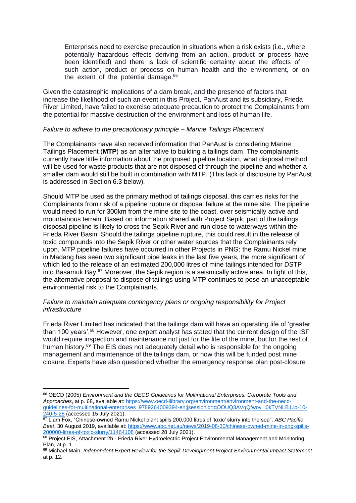Enterprises need to exercise precaution in situations when a risk exists (i.e., where potentially hazardous effects deriving from an action, product or process have been identified) and there is lack of scientific certainty about the effects of such action, product or process on human health and the environment, or on the extent of the potential damage.<sup>66</sup>

Given the catastrophic implications of a dam break, and the presence of factors that increase the likelihood of such an event in this Project, PanAust and its subsidiary, Frieda River Limited, have failed to exercise adequate precaution to protect the Complainants from the potential for massive destruction of the environment and loss of human life.

#### *Failure to adhere to the precautionary principle – Marine Tailings Placement*

The Complainants have also received information that PanAust is considering Marine Tailings Placement (**MTP**) as an alternative to building a tailings dam. The complainants currently have little information about the proposed pipeline location, what disposal method will be used for waste products that are not disposed of through the pipeline and whether a smaller dam would still be built in combination with MTP. (This lack of disclosure by PanAust is addressed in Section 6.3 below).

Should MTP be used as the primary method of tailings disposal, this carries risks for the Complainants from risk of a pipeline rupture or disposal failure at the mine site. The pipeline would need to run for 300km from the mine site to the coast, over seismically active and mountainous terrain. Based on information shared with Project Sepik, part of the tailings disposal pipeline is likely to cross the Sepik River and run close to waterways within the Frieda River Basin. Should the tailings pipeline rupture, this could result in the release of toxic compounds into the Sepik River or other water sources that the Complainants rely upon. MTP pipeline failures have occurred in other Projects in PNG: the Ramu Nickel mine in Madang has seen two significant pipe leaks in the last five years, the more significant of which led to the release of an estimated 200,000 litres of mine tailings intended for DSTP into Basamuk Bay.<sup>67</sup> Moreover, the Sepik region is a seismically active area. In light of this, the alternative proposal to dispose of tailings using MTP continues to pose an unacceptable environmental risk to the Complainants.

#### *Failure to maintain adequate contingency plans or ongoing responsibility for Project infrastructure*

Frieda River Limited has indicated that the tailings dam will have an operating life of 'greater than 100 years'.<sup>68</sup> However, one expert analyst has stated that the current design of the ISF would require inspection and maintenance not just for the life of the mine, but for the rest of human history.<sup>69</sup> The EIS does not adequately detail who is responsible for the ongoing management and maintenance of the tailings dam, or how this will be funded post mine closure. Experts have also questioned whether the emergency response plan post-closure

<sup>66</sup> OECD (2005) *Environment and the OECD Guidelines for Multinational Enterprises: Corporate Tools and Approaches*, at p. 68, available at[: https://www.oecd-ilibrary.org/environment/environment-and-the-oecd](https://www.oecd-ilibrary.org/environment/environment-and-the-oecd-guidelines-for-multinational-enterprises_9789264009394-en;jsessionid=qOOUQ3AVqQfwoy_l0kTVNLB1.ip-10-240-5-28)[guidelines-for-multinational-enterprises\\_9789264009394-en;jsessionid=qOOUQ3AVqQfwoy\\_l0kTVNLB1.ip-10-](https://www.oecd-ilibrary.org/environment/environment-and-the-oecd-guidelines-for-multinational-enterprises_9789264009394-en;jsessionid=qOOUQ3AVqQfwoy_l0kTVNLB1.ip-10-240-5-28) [240-5-28](https://www.oecd-ilibrary.org/environment/environment-and-the-oecd-guidelines-for-multinational-enterprises_9789264009394-en;jsessionid=qOOUQ3AVqQfwoy_l0kTVNLB1.ip-10-240-5-28) (accessed 15 July 2021).

<sup>67</sup> Liam Fox, "Chinese-owned Ramu Nickel plant spills 200,000 litres of 'toxic' slurry into the sea", *ABC Pacific Beat*, 30 August 2019, available at: [https://www.abc.net.au/news/2019-08-30/chinese-owned-mine-in-png-spills-](https://www.abc.net.au/news/2019-08-30/chinese-owned-mine-in-png-spills-200000-litres-of-toxic-slurry/11464108)[200000-litres-of-toxic-slurry/11464108](https://www.abc.net.au/news/2019-08-30/chinese-owned-mine-in-png-spills-200000-litres-of-toxic-slurry/11464108) (accessed 28 July 2021).

<sup>68</sup> Project EIS, Attachment 2b - Frieda River Hydroelectric Project Environmental Management and Monitoring Plan, at p. 1.

<sup>69</sup> Michael Main, *Independent Expert Review for the Sepik Development Project Environmental Impact Statement* at p. 12.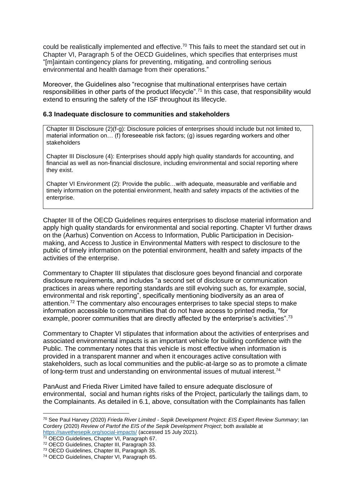could be realistically implemented and effective.<sup>70</sup> This fails to meet the standard set out in Chapter VI, Paragraph 5 of the OECD Guidelines, which specifies that enterprises must "[m]aintain contingency plans for preventing, mitigating, and controlling serious environmental and health damage from their operations."

Moreover, the Guidelines also "recognise that multinational enterprises have certain responsibilities in other parts of the product lifecycle".<sup>71</sup> In this case, that responsibility would extend to ensuring the safety of the ISF throughout its lifecycle.

#### **6.3 Inadequate disclosure to communities and stakeholders**

Chapter III Disclosure (2)(f-g): Disclosure policies of enterprises should include but not limited to, material information on… (f) foreseeable risk factors; (g) issues regarding workers and other stakeholders

Chapter III Disclosure (4): Enterprises should apply high quality standards for accounting, and financial as well as non-financial disclosure, including environmental and social reporting where they exist.

Chapter VI Environment (2): Provide the public…with adequate, measurable and verifiable and timely information on the potential environment, health and safety impacts of the activities of the enterprise.

Chapter III of the OECD Guidelines requires enterprises to disclose material information and apply high quality standards for environmental and social reporting. Chapter VI further draws on the (Aarhus) Convention on Access to Information, Public Participation in Decisionmaking, and Access to Justice in Environmental Matters with respect to disclosure to the public of timely information on the potential environment, health and safety impacts of the activities of the enterprise.

Commentary to Chapter III stipulates that disclosure goes beyond financial and corporate disclosure requirements, and includes "a second set of disclosure or communication practices in areas where reporting standards are still evolving such as, for example, social, environmental and risk reporting", specifically mentioning biodiversity as an area of attention.<sup>72</sup> The commentary also encourages enterprises to take special steps to make information accessible to communities that do not have access to printed media, "for example, poorer communities that are directly affected by the enterprise's activities".<sup>73</sup>

Commentary to Chapter VI stipulates that information about the activities of enterprises and associated environmental impacts is an important vehicle for building confidence with the Public. The commentary notes that this vehicle is most effective when information is provided in a transparent manner and when it encourages active consultation with stakeholders, such as local communities and the public-at-large so as to promote a climate of long-term trust and understanding on environmental issues of mutual interest.<sup>74</sup>

PanAust and Frieda River Limited have failed to ensure adequate disclosure of environmental, social and human rights risks of the Project, particularly the tailings dam, to the Complainants. As detailed in 6.1, above, consultation with the Complainants has fallen

<sup>70</sup> See Paul Harvey (2020) *Frieda River Limited - Sepik Development Project: EIS Expert Review Summary*; Ian Cordery (2020) *Review of Partof the EIS of the Sepik Development Project*; both available at <https://savethesepik.org/social-impacts/> (accessed 15 July 2021).

<sup>71</sup> OECD Guidelines, Chapter VI, Paragraph 67.

<sup>72</sup> OECD Guidelines, Chapter III, Paragraph 33.

<sup>73</sup> OECD Guidelines, Chapter III, Paragraph 35.

<sup>74</sup> OECD Guidelines, Chapter VI, Paragraph 65.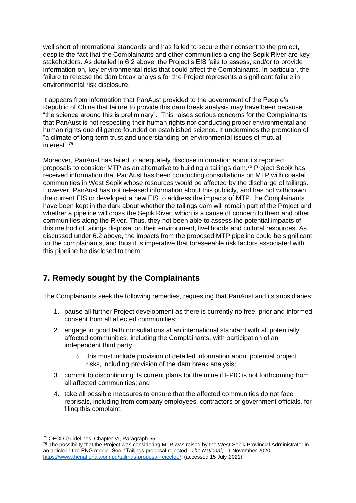well short of international standards and has failed to secure their consent to the project, despite the fact that the Complainants and other communities along the Sepik River are key stakeholders. As detailed in 6.2 above, the Project's EIS fails to assess, and/or to provide information on, key environmental risks that could affect the Complainants. In particular, the failure to release the dam break analysis for the Project represents a significant failure in environmental risk disclosure.

It appears from information that PanAust provided to the government of the People's Republic of China that failure to provide this dam break analysis may have been because "the science around this is preliminary". This raises serious concerns for the Complainants that PanAust is not respecting their human rights nor conducting proper environmental and human rights due diligence founded on established science. It undermines the promotion of "a climate of long-term trust and understanding on environmental issues of mutual interest".<sup>75</sup>

Moreover, PanAust has failed to adequately disclose information about its reported proposals to consider MTP as an alternative to building a tailings dam.<sup>76</sup> Project Sepik has received information that PanAust has been conducting consultations on MTP with coastal communities in West Sepik whose resources would be affected by the discharge of tailings. However, PanAust has not released information about this publicly, and has not withdrawn the current EIS or developed a new EIS to address the impacts of MTP. the Complainants have been kept in the dark about whether the tailings dam will remain part of the Project and whether a pipeline will cross the Sepik River, which is a cause of concern to them and other communities along the River. Thus, they not been able to assess the potential impacts of this method of tailings disposal on their environment, livelihoods and cultural resources. As discussed under 6.2 above, the impacts from the proposed MTP pipeline could be significant for the complainants, and thus it is imperative that foreseeable risk factors associated with this pipeline be disclosed to them.

# **7. Remedy sought by the Complainants**

The Complainants seek the following remedies, requesting that PanAust and its subsidiaries:

- 1. pause all further Project development as there is currently no free, prior and informed consent from all affected communities;
- 2. engage in good faith consultations at an international standard with all potentially affected communities, including the Complainants, with participation of an independent third party
	- $\circ$  this must include provision of detailed information about potential project risks, including provision of the dam break analysis;
- 3. commit to discontinuing its current plans for the mine if FPIC is not forthcoming from all affected communities; and
- 4. take all possible measures to ensure that the affected communities do not face reprisals, including from company employees, contractors or government officials, for filing this complaint.

<sup>75</sup> OECD Guidelines, Chapter VI, Paragraph 65.

 $76$  The possibility that the Project was considering MTP was raised by the West Sepik Provincial Administrator in an article in the PNG media. See: 'Tailings proposal rejected,' *The National*, 11 November 2020: <https://www.thenational.com.pg/tailings-proposal-rejected/>(accessed 15 July 2021).